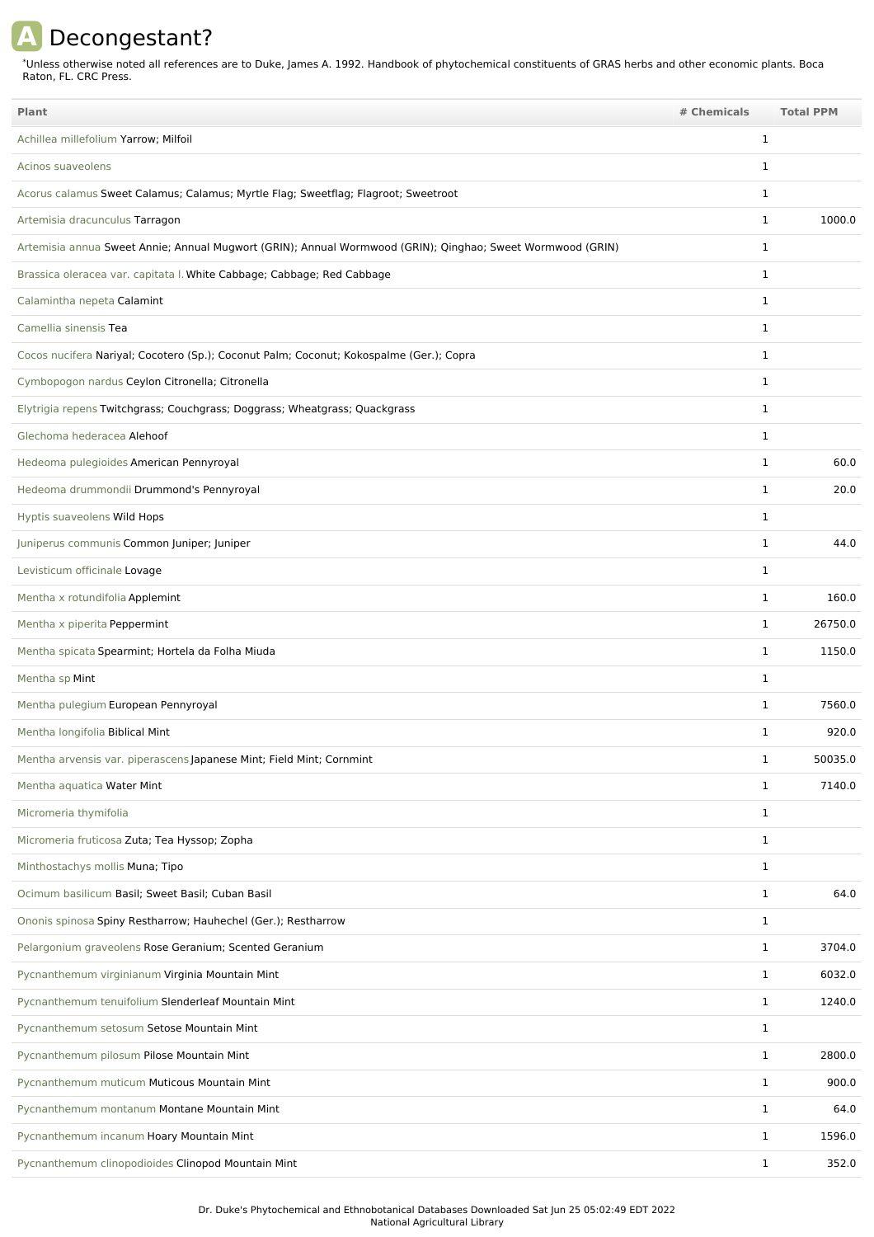## **A** Decongestant?

Unless otherwise noted all references are to Duke, James A. 1992. Handbook of phytochemical constituents of GRAS herbs and other economic plants. Boca Raton, FL. CRC Press. \*

| <b>Plant</b>                                                                                               | # Chemicals |              | <b>Total PPM</b> |
|------------------------------------------------------------------------------------------------------------|-------------|--------------|------------------|
| Achillea millefolium Yarrow; Milfoil                                                                       |             | $\mathbf{1}$ |                  |
| Acinos suaveolens                                                                                          |             | $\mathbf{1}$ |                  |
| Acorus calamus Sweet Calamus; Calamus; Myrtle Flag; Sweetflag; Flagroot; Sweetroot                         |             | $\mathbf{1}$ |                  |
| Artemisia dracunculus Tarragon                                                                             |             | $\mathbf{1}$ | 1000.0           |
| Artemisia annua Sweet Annie; Annual Mugwort (GRIN); Annual Wormwood (GRIN); Qinghao; Sweet Wormwood (GRIN) |             | 1            |                  |
| Brassica oleracea var. capitata I. White Cabbage; Cabbage; Red Cabbage                                     |             | $\mathbf{1}$ |                  |
| Calamintha nepeta Calamint                                                                                 |             | 1            |                  |
| Camellia sinensis Tea                                                                                      |             | $\mathbf{1}$ |                  |
| Cocos nucifera Nariyal; Cocotero (Sp.); Coconut Palm; Coconut; Kokospalme (Ger.); Copra                    |             | 1            |                  |
| Cymbopogon nardus Ceylon Citronella; Citronella                                                            |             | $\mathbf{1}$ |                  |
| Elytrigia repens Twitchgrass; Couchgrass; Doggrass; Wheatgrass; Quackgrass                                 |             | $\mathbf{1}$ |                  |
| Glechoma hederacea Alehoof                                                                                 |             | $\mathbf{1}$ |                  |
| Hedeoma pulegioides American Pennyroyal                                                                    |             | 1            | 60.0             |
| Hedeoma drummondii Drummond's Pennyroyal                                                                   |             | $\mathbf{1}$ | 20.0             |
| Hyptis suaveolens Wild Hops                                                                                |             | $\mathbf{1}$ |                  |
| Juniperus communis Common Juniper; Juniper                                                                 |             | $\mathbf{1}$ | 44.0             |
| Levisticum officinale Lovage                                                                               |             | $\mathbf{1}$ |                  |
| Mentha x rotundifolia Applemint                                                                            |             | $\mathbf{1}$ | 160.0            |
| Mentha x piperita Peppermint                                                                               |             | $\mathbf{1}$ | 26750.0          |
| Mentha spicata Spearmint; Hortela da Folha Miuda                                                           |             | $\mathbf{1}$ | 1150.0           |
| Mentha sp Mint                                                                                             |             | $\mathbf{1}$ |                  |
| Mentha pulegium European Pennyroyal                                                                        |             | 1            | 7560.0           |
| Mentha longifolia Biblical Mint                                                                            |             | $\mathbf{1}$ | 920.0            |
| Mentha arvensis var. piperascens Japanese Mint; Field Mint; Cornmint                                       |             | 1            | 50035.0          |
| Mentha aquatica Water Mint                                                                                 |             | $\mathbf{1}$ | 7140.0           |
| Micromeria thymifolia                                                                                      |             | $\mathbf{1}$ |                  |
| Micromeria fruticosa Zuta; Tea Hyssop; Zopha                                                               |             | $\mathbf{1}$ |                  |
| Minthostachys mollis Muna; Tipo                                                                            |             | $\mathbf{1}$ |                  |
| Ocimum basilicum Basil; Sweet Basil; Cuban Basil                                                           |             | $\mathbf{1}$ | 64.0             |
| Ononis spinosa Spiny Restharrow; Hauhechel (Ger.); Restharrow                                              |             | $\mathbf{1}$ |                  |
| Pelargonium graveolens Rose Geranium; Scented Geranium                                                     |             | $\mathbf{1}$ | 3704.0           |
| Pycnanthemum virginianum Virginia Mountain Mint                                                            |             | $\mathbf{1}$ | 6032.0           |
| Pycnanthemum tenuifolium Slenderleaf Mountain Mint                                                         |             | $\mathbf{1}$ | 1240.0           |
| Pycnanthemum setosum Setose Mountain Mint                                                                  |             | $\mathbf{1}$ |                  |
| Pycnanthemum pilosum Pilose Mountain Mint                                                                  |             | $\mathbf{1}$ | 2800.0           |
| Pycnanthemum muticum Muticous Mountain Mint                                                                |             | $\mathbf{1}$ | 900.0            |
| Pycnanthemum montanum Montane Mountain Mint                                                                |             | $\mathbf{1}$ | 64.0             |
| Pycnanthemum incanum Hoary Mountain Mint                                                                   |             | $\mathbf{1}$ | 1596.0           |
| Pycnanthemum clinopodioides Clinopod Mountain Mint                                                         |             | $\mathbf{1}$ | 352.0            |